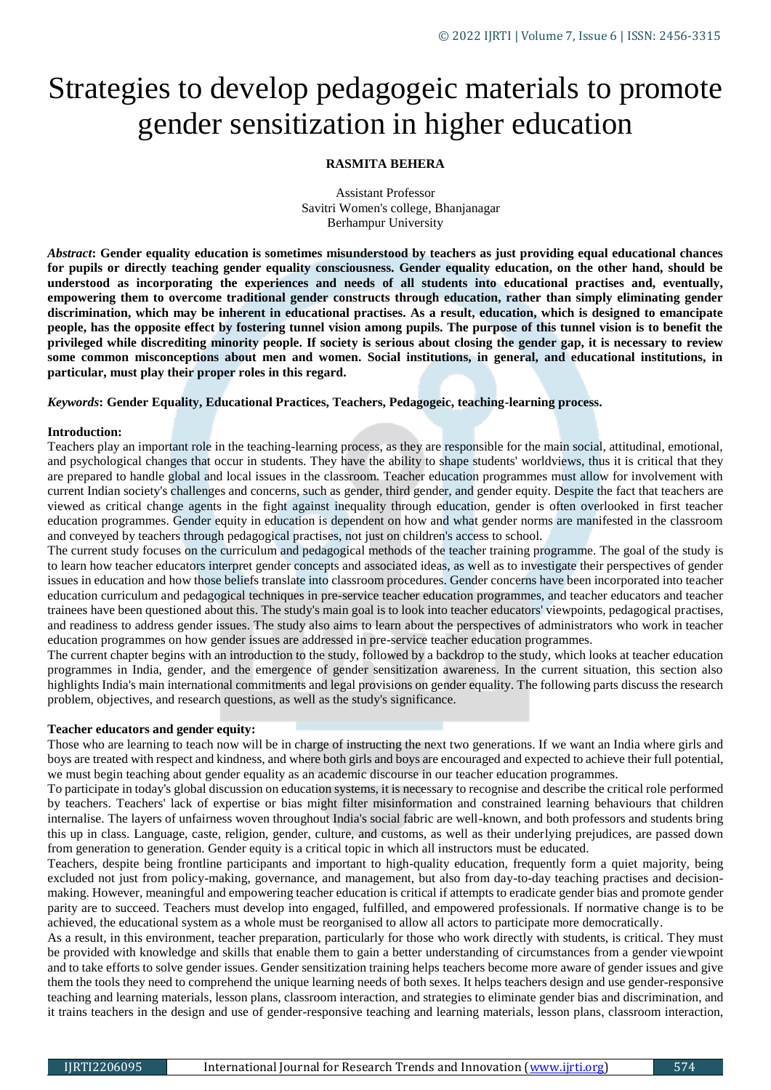# Strategies to develop pedagogeic materials to promote gender sensitization in higher education

# **RASMITA BEHERA**

Assistant Professor Savitri Women's college, Bhanjanagar Berhampur University

*Abstract***: Gender equality education is sometimes misunderstood by teachers as just providing equal educational chances for pupils or directly teaching gender equality consciousness. Gender equality education, on the other hand, should be understood as incorporating the experiences and needs of all students into educational practises and, eventually, empowering them to overcome traditional gender constructs through education, rather than simply eliminating gender discrimination, which may be inherent in educational practises. As a result, education, which is designed to emancipate people, has the opposite effect by fostering tunnel vision among pupils. The purpose of this tunnel vision is to benefit the privileged while discrediting minority people. If society is serious about closing the gender gap, it is necessary to review some common misconceptions about men and women. Social institutions, in general, and educational institutions, in particular, must play their proper roles in this regard.**

*Keywords***: Gender Equality, Educational Practices, Teachers, Pedagogeic, teaching-learning process.**

## **Introduction:**

Teachers play an important role in the teaching-learning process, as they are responsible for the main social, attitudinal, emotional, and psychological changes that occur in students. They have the ability to shape students' worldviews, thus it is critical that they are prepared to handle global and local issues in the classroom. Teacher education programmes must allow for involvement with current Indian society's challenges and concerns, such as gender, third gender, and gender equity. Despite the fact that teachers are viewed as critical change agents in the fight against inequality through education, gender is often overlooked in first teacher education programmes. Gender equity in education is dependent on how and what gender norms are manifested in the classroom and conveyed by teachers through pedagogical practises, not just on children's access to school.

The current study focuses on the curriculum and pedagogical methods of the teacher training programme. The goal of the study is to learn how teacher educators interpret gender concepts and associated ideas, as well as to investigate their perspectives of gender issues in education and how those beliefs translate into classroom procedures. Gender concerns have been incorporated into teacher education curriculum and pedagogical techniques in pre-service teacher education programmes, and teacher educators and teacher trainees have been questioned about this. The study's main goal is to look into teacher educators' viewpoints, pedagogical practises, and readiness to address gender issues. The study also aims to learn about the perspectives of administrators who work in teacher education programmes on how gender issues are addressed in pre-service teacher education programmes.

The current chapter begins with an introduction to the study, followed by a backdrop to the study, which looks at teacher education programmes in India, gender, and the emergence of gender sensitization awareness. In the current situation, this section also highlights India's main international commitments and legal provisions on gender equality. The following parts discuss the research problem, objectives, and research questions, as well as the study's significance.

## **Teacher educators and gender equity:**

Those who are learning to teach now will be in charge of instructing the next two generations. If we want an India where girls and boys are treated with respect and kindness, and where both girls and boys are encouraged and expected to achieve their full potential, we must begin teaching about gender equality as an academic discourse in our teacher education programmes.

To participate in today's global discussion on education systems, it is necessary to recognise and describe the critical role performed by teachers. Teachers' lack of expertise or bias might filter misinformation and constrained learning behaviours that children internalise. The layers of unfairness woven throughout India's social fabric are well-known, and both professors and students bring this up in class. Language, caste, religion, gender, culture, and customs, as well as their underlying prejudices, are passed down from generation to generation. Gender equity is a critical topic in which all instructors must be educated.

Teachers, despite being frontline participants and important to high-quality education, frequently form a quiet majority, being excluded not just from policy-making, governance, and management, but also from day-to-day teaching practises and decisionmaking. However, meaningful and empowering teacher education is critical if attempts to eradicate gender bias and promote gender parity are to succeed. Teachers must develop into engaged, fulfilled, and empowered professionals. If normative change is to be achieved, the educational system as a whole must be reorganised to allow all actors to participate more democratically.

As a result, in this environment, teacher preparation, particularly for those who work directly with students, is critical. They must be provided with knowledge and skills that enable them to gain a better understanding of circumstances from a gender viewpoint and to take efforts to solve gender issues. Gender sensitization training helps teachers become more aware of gender issues and give them the tools they need to comprehend the unique learning needs of both sexes. It helps teachers design and use gender-responsive teaching and learning materials, lesson plans, classroom interaction, and strategies to eliminate gender bias and discrimination, and it trains teachers in the design and use of gender-responsive teaching and learning materials, lesson plans, classroom interaction,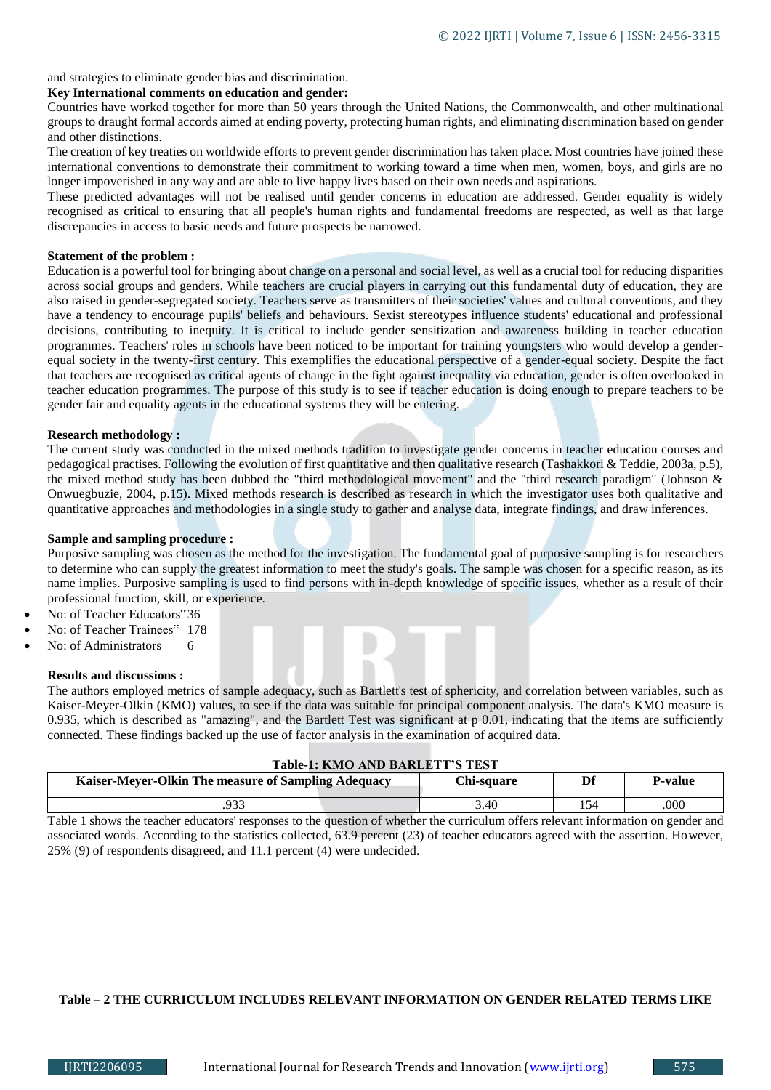and strategies to eliminate gender bias and discrimination.

# **Key International comments on education and gender:**

Countries have worked together for more than 50 years through the United Nations, the Commonwealth, and other multinational groups to draught formal accords aimed at ending poverty, protecting human rights, and eliminating discrimination based on gender and other distinctions.

The creation of key treaties on worldwide efforts to prevent gender discrimination has taken place. Most countries have joined these international conventions to demonstrate their commitment to working toward a time when men, women, boys, and girls are no longer impoverished in any way and are able to live happy lives based on their own needs and aspirations.

These predicted advantages will not be realised until gender concerns in education are addressed. Gender equality is widely recognised as critical to ensuring that all people's human rights and fundamental freedoms are respected, as well as that large discrepancies in access to basic needs and future prospects be narrowed.

# **Statement of the problem :**

Education is a powerful tool for bringing about change on a personal and social level, as well as a crucial tool for reducing disparities across social groups and genders. While teachers are crucial players in carrying out this fundamental duty of education, they are also raised in gender-segregated society. Teachers serve as transmitters of their societies' values and cultural conventions, and they have a tendency to encourage pupils' beliefs and behaviours. Sexist stereotypes influence students' educational and professional decisions, contributing to inequity. It is critical to include gender sensitization and awareness building in teacher education programmes. Teachers' roles in schools have been noticed to be important for training youngsters who would develop a genderequal society in the twenty-first century. This exemplifies the educational perspective of a gender-equal society. Despite the fact that teachers are recognised as critical agents of change in the fight against inequality via education, gender is often overlooked in teacher education programmes. The purpose of this study is to see if teacher education is doing enough to prepare teachers to be gender fair and equality agents in the educational systems they will be entering.

# **Research methodology :**

The current study was conducted in the mixed methods tradition to investigate gender concerns in teacher education courses and pedagogical practises. Following the evolution of first quantitative and then qualitative research (Tashakkori & Teddie, 2003a, p.5), the mixed method study has been dubbed the "third methodological movement" and the "third research paradigm" (Johnson & Onwuegbuzie, 2004, p.15). Mixed methods research is described as research in which the investigator uses both qualitative and quantitative approaches and methodologies in a single study to gather and analyse data, integrate findings, and draw inferences.

# **Sample and sampling procedure :**

Purposive sampling was chosen as the method for the investigation. The fundamental goal of purposive sampling is for researchers to determine who can supply the greatest information to meet the study's goals. The sample was chosen for a specific reason, as its name implies. Purposive sampling is used to find persons with in-depth knowledge of specific issues, whether as a result of their professional function, skill, or experience.

- No: of Teacher Educators"36
- No: of Teacher Trainees" 178
- No: of Administrators 6

## **Results and discussions :**

The authors employed metrics of sample adequacy, such as Bartlett's test of sphericity, and correlation between variables, such as Kaiser-Meyer-Olkin (KMO) values, to see if the data was suitable for principal component analysis. The data's KMO measure is 0.935, which is described as "amazing", and the Bartlett Test was significant at p 0.01, indicating that the items are sufficiently connected. These findings backed up the use of factor analysis in the examination of acquired data.

## **Table-1: KMO AND BARLETT'S TEST**

| Kaiser-Meyer-Olkin The measure of Sampling Adequacy | Chi-sauare | Df | P-value |
|-----------------------------------------------------|------------|----|---------|
| nn 1                                                | 3.40       |    | 000     |

Table 1 shows the teacher educators' responses to the question of whether the curriculum offers relevant information on gender and associated words. According to the statistics collected, 63.9 percent (23) of teacher educators agreed with the assertion. However, 25% (9) of respondents disagreed, and 11.1 percent (4) were undecided.

# **Table – 2 THE CURRICULUM INCLUDES RELEVANT INFORMATION ON GENDER RELATED TERMS LIKE**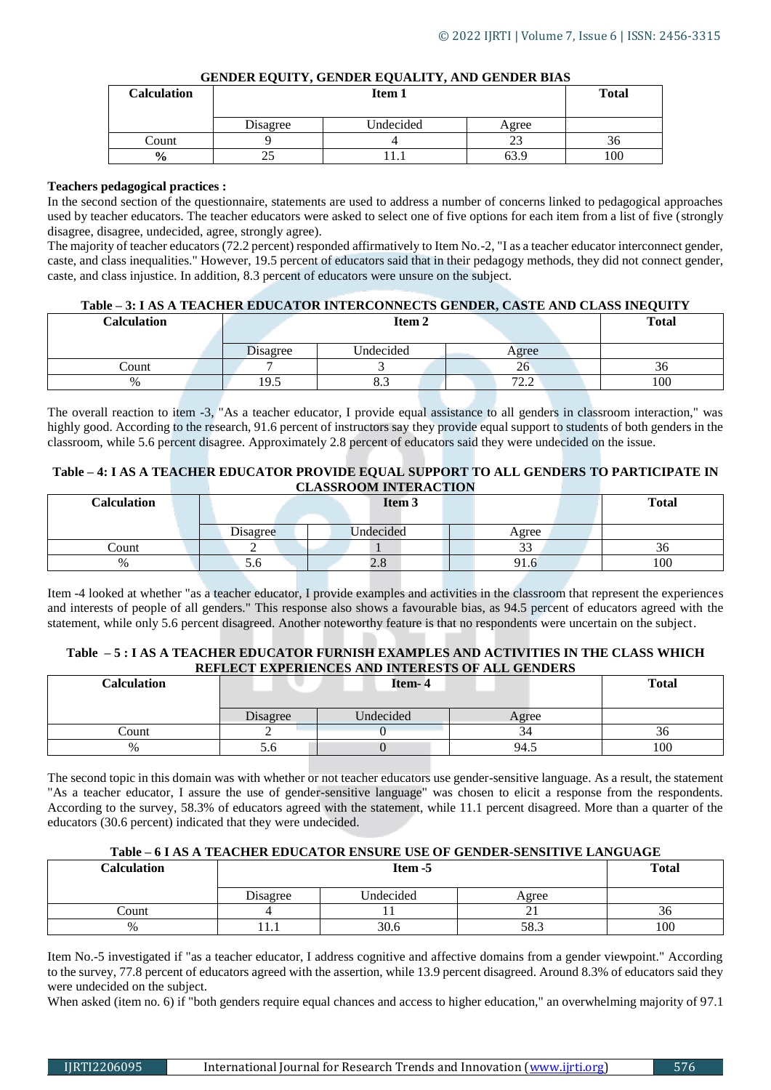# **GENDER EQUITY, GENDER EQUALITY, AND GENDER BIAS**

| <b>Calculation</b> | Item 1   |           |       | <b>Total</b> |
|--------------------|----------|-----------|-------|--------------|
|                    | Disagree | Undecided | Agree |              |
| Count              |          |           |       | 30           |
| $\frac{0}{0}$      |          |           | 63.9  | 100          |

# **Teachers pedagogical practices :**

In the second section of the questionnaire, statements are used to address a number of concerns linked to pedagogical approaches used by teacher educators. The teacher educators were asked to select one of five options for each item from a list of five (strongly disagree, disagree, undecided, agree, strongly agree).

The majority of teacher educators (72.2 percent) responded affirmatively to Item No.-2, "I as a teacher educator interconnect gender, caste, and class inequalities." However, 19.5 percent of educators said that in their pedagogy methods, they did not connect gender, caste, and class injustice. In addition, 8.3 percent of educators were unsure on the subject.

# **Table – 3: I AS A TEACHER EDUCATOR INTERCONNECTS GENDER, CASTE AND CLASS INEQUITY**

| Calculation | Item <sub>2</sub> |               |             | <b>Total</b> |
|-------------|-------------------|---------------|-------------|--------------|
|             |                   |               |             |              |
|             | Disagree          | Undecided     | Agree       |              |
| Count       |                   |               | 26          | 30           |
| $\%$        | 19.5              | $\sim$<br>0.J | 70<br>ے ، ب | 100          |

The overall reaction to item -3, "As a teacher educator, I provide equal assistance to all genders in classroom interaction," was highly good. According to the research, 91.6 percent of instructors say they provide equal support to students of both genders in the classroom, while 5.6 percent disagree. Approximately 2.8 percent of educators said they were undecided on the issue.

# **Table – 4: I AS A TEACHER EDUCATOR PROVIDE EQUAL SUPPORT TO ALL GENDERS TO PARTICIPATE IN CLASSROOM INTERACTION**

| Calculation |          | Item <sub>3</sub> |               | <b>Total</b> |
|-------------|----------|-------------------|---------------|--------------|
|             | Disagree | <b>Indecided</b>  | Agree         |              |
| Count       |          |                   | $\sim$<br>ن ب | 30           |
| %           | 5.0      | $\mathcal{L}$ .0  | 91.6          | 100          |

Item -4 looked at whether "as a teacher educator, I provide examples and activities in the classroom that represent the experiences and interests of people of all genders." This response also shows a favourable bias, as 94.5 percent of educators agreed with the statement, while only 5.6 percent disagreed. Another noteworthy feature is that no respondents were uncertain on the subject.

# **Table – 5 : I AS A TEACHER EDUCATOR FURNISH EXAMPLES AND ACTIVITIES IN THE CLASS WHICH REFLECT EXPERIENCES AND INTERESTS OF ALL GENDERS**

| <b>Calculation</b> | Item- 4  |                  |       | <b>Total</b> |
|--------------------|----------|------------------|-------|--------------|
|                    |          |                  |       |              |
|                    | Disagree | <b>Jndecided</b> | Agree |              |
| Count              |          |                  | 34    | 30           |
| $\%$               | o.c      |                  | 94.5  | 100          |

The second topic in this domain was with whether or not teacher educators use gender-sensitive language. As a result, the statement "As a teacher educator, I assure the use of gender-sensitive language" was chosen to elicit a response from the respondents. According to the survey, 58.3% of educators agreed with the statement, while 11.1 percent disagreed. More than a quarter of the educators (30.6 percent) indicated that they were undecided.

# **Table – 6 I AS A TEACHER EDUCATOR ENSURE USE OF GENDER-SENSITIVE LANGUAGE**

| Calculation | Item -5  |           |          | <b>Total</b> |
|-------------|----------|-----------|----------|--------------|
|             | Disagree | Undecided | Agree    |              |
| Count       |          |           | <u>_</u> | 30           |
| $\%$        | .        | 30.6      | 58.3     | 100          |

Item No.-5 investigated if "as a teacher educator, I address cognitive and affective domains from a gender viewpoint." According to the survey, 77.8 percent of educators agreed with the assertion, while 13.9 percent disagreed. Around 8.3% of educators said they were undecided on the subject.

When asked (item no. 6) if "both genders require equal chances and access to higher education," an overwhelming majority of 97.1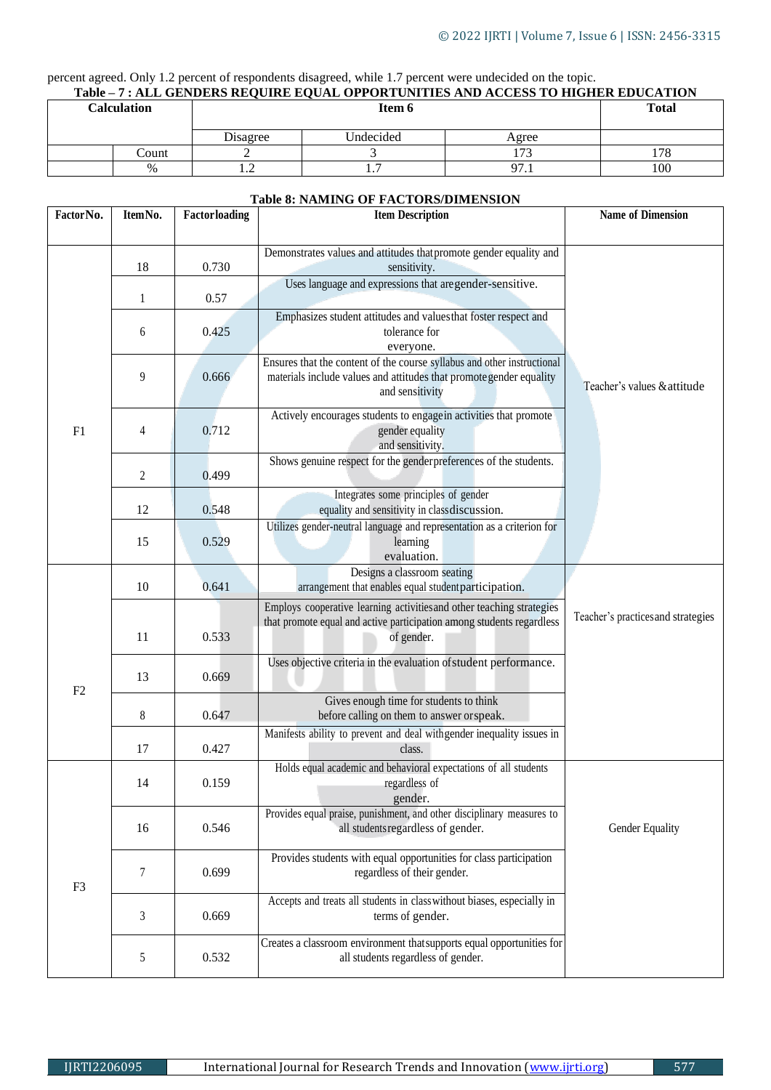# percent agreed. Only 1.2 percent of respondents disagreed, while 1.7 percent were undecided on the topic.

|  | Table – 7 : ALL GENDERS REOUIRE EOUAL OPPORTUNITIES AND ACCESS TO HIGHER EDUCATION |  |
|--|------------------------------------------------------------------------------------|--|
|  |                                                                                    |  |

| <b>Calculation</b> |       |          | Item 6    |                   | <b>Total</b> |
|--------------------|-------|----------|-----------|-------------------|--------------|
|                    |       | Disagree | Undecided | Agree             |              |
|                    | Count |          |           | 172               | 170<br>78    |
|                    | $\%$  | $\cdot$  | .         | 07<br><i>,,</i> , | 100          |

#### **Table 8: NAMING OF FACTORS/DIMENSION**

| Factor No.     | ItemNo. | Factorloading | <b>Item Description</b>                                                                                                                                          | <b>Name of Dimension</b>           |
|----------------|---------|---------------|------------------------------------------------------------------------------------------------------------------------------------------------------------------|------------------------------------|
|                |         |               |                                                                                                                                                                  |                                    |
|                | 18      | 0.730         | Demonstrates values and attitudes that promote gender equality and<br>sensitivity.                                                                               |                                    |
|                | 1       | 0.57          | Uses language and expressions that are gender-sensitive.                                                                                                         |                                    |
|                | 6       | 0.425         | Emphasizes student attitudes and values that foster respect and<br>tolerance for<br>everyone.                                                                    |                                    |
|                | 9       | 0.666         | Ensures that the content of the course syllabus and other instructional<br>materials include values and attitudes that promotegender equality<br>and sensitivity | Teacher's values & attitude        |
| F1             | 4       | 0.712         | Actively encourages students to engage in activities that promote<br>gender equality<br>and sensitivity.                                                         |                                    |
|                | 2       | 0.499         | Shows genuine respect for the genderpreferences of the students.                                                                                                 |                                    |
|                | 12      | 0.548         | Integrates some principles of gender<br>equality and sensitivity in classdiscussion.                                                                             |                                    |
|                | 15      | 0.529         | Utilizes gender-neutral language and representation as a criterion for<br>learning<br>evaluation.                                                                |                                    |
|                | 10      | 0.641         | Designs a classroom seating<br>arrangement that enables equal student participation.                                                                             |                                    |
|                | 11      | 0.533         | Employs cooperative learning activities and other teaching strategies<br>that promote equal and active participation among students regardless<br>of gender.     | Teacher's practices and strategies |
| F <sub>2</sub> | 13      | 0.669         | Uses objective criteria in the evaluation of student performance.                                                                                                |                                    |
|                | 8       | 0.647         | Gives enough time for students to think<br>before calling on them to answer or speak.                                                                            |                                    |
|                | 17      | 0.427         | Manifests ability to prevent and deal with gender inequality issues in<br>class.                                                                                 |                                    |
|                | 14      | 0.159         | Holds equal academic and behavioral expectations of all students<br>regardless of<br>gender.                                                                     |                                    |
|                | 16      | 0.546         | Provides equal praise, punishment, and other disciplinary measures to<br>all students regardless of gender.                                                      | Gender Equality                    |
| F <sub>3</sub> | 7       | 0.699         | Provides students with equal opportunities for class participation<br>regardless of their gender.                                                                |                                    |
|                | 3       | 0.669         | Accepts and treats all students in class without biases, especially in<br>terms of gender.                                                                       |                                    |
|                | 5       | 0.532         | Creates a classroom environment that supports equal opportunities for<br>all students regardless of gender.                                                      |                                    |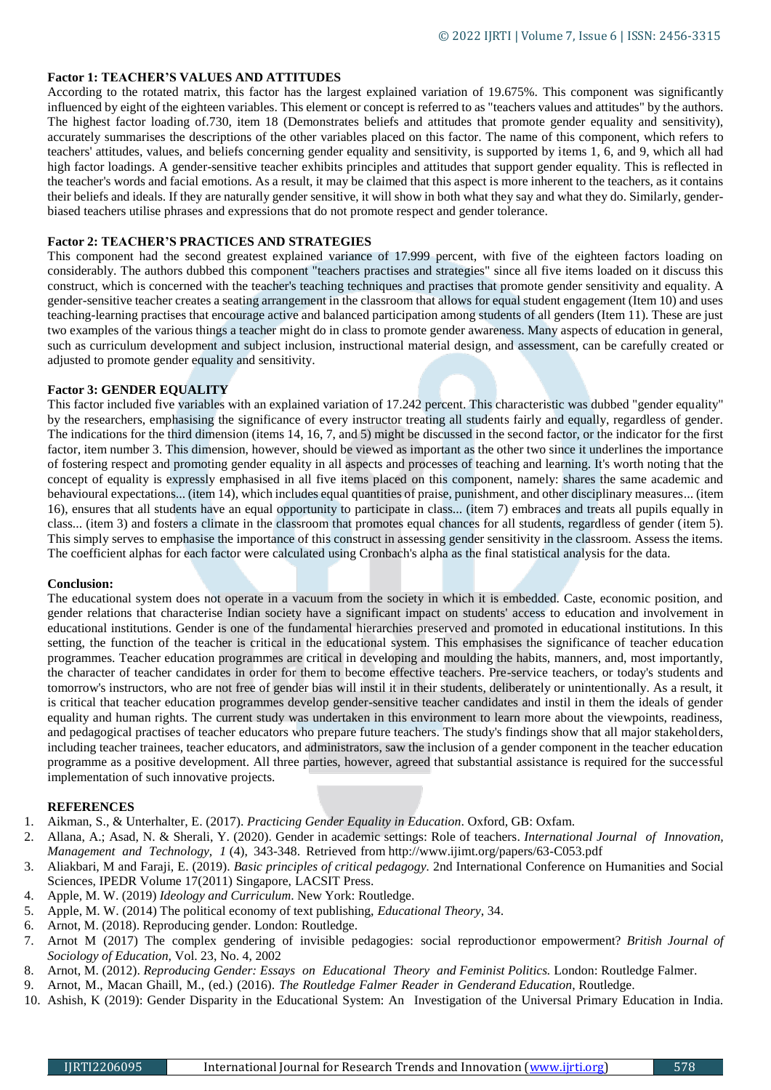## **Factor 1: TEACHER'S VALUES AND ATTITUDES**

According to the rotated matrix, this factor has the largest explained variation of 19.675%. This component was significantly influenced by eight of the eighteen variables. This element or concept is referred to as "teachers values and attitudes" by the authors. The highest factor loading of.730, item 18 (Demonstrates beliefs and attitudes that promote gender equality and sensitivity), accurately summarises the descriptions of the other variables placed on this factor. The name of this component, which refers to teachers' attitudes, values, and beliefs concerning gender equality and sensitivity, is supported by items 1, 6, and 9, which all had high factor loadings. A gender-sensitive teacher exhibits principles and attitudes that support gender equality. This is reflected in the teacher's words and facial emotions. As a result, it may be claimed that this aspect is more inherent to the teachers, as it contains their beliefs and ideals. If they are naturally gender sensitive, it will show in both what they say and what they do. Similarly, genderbiased teachers utilise phrases and expressions that do not promote respect and gender tolerance.

# **Factor 2: TEACHER'S PRACTICES AND STRATEGIES**

This component had the second greatest explained variance of 17.999 percent, with five of the eighteen factors loading on considerably. The authors dubbed this component "teachers practises and strategies" since all five items loaded on it discuss this construct, which is concerned with the teacher's teaching techniques and practises that promote gender sensitivity and equality. A gender-sensitive teacher creates a seating arrangement in the classroom that allows for equal student engagement (Item 10) and uses teaching-learning practises that encourage active and balanced participation among students of all genders (Item 11). These are just two examples of the various things a teacher might do in class to promote gender awareness. Many aspects of education in general, such as curriculum development and subject inclusion, instructional material design, and assessment, can be carefully created or adjusted to promote gender equality and sensitivity.

## **Factor 3: GENDER EQUALITY**

This factor included five variables with an explained variation of 17.242 percent. This characteristic was dubbed "gender equality" by the researchers, emphasising the significance of every instructor treating all students fairly and equally, regardless of gender. The indications for the third dimension (items 14, 16, 7, and 5) might be discussed in the second factor, or the indicator for the first factor, item number 3. This dimension, however, should be viewed as important as the other two since it underlines the importance of fostering respect and promoting gender equality in all aspects and processes of teaching and learning. It's worth noting that the concept of equality is expressly emphasised in all five items placed on this component, namely: shares the same academic and behavioural expectations... (item 14), which includes equal quantities of praise, punishment, and other disciplinary measures... (item 16), ensures that all students have an equal opportunity to participate in class... (item 7) embraces and treats all pupils equally in class... (item 3) and fosters a climate in the classroom that promotes equal chances for all students, regardless of gender (item 5). This simply serves to emphasise the importance of this construct in assessing gender sensitivity in the classroom. Assess the items. The coefficient alphas for each factor were calculated using Cronbach's alpha as the final statistical analysis for the data.

## **Conclusion:**

The educational system does not operate in a vacuum from the society in which it is embedded. Caste, economic position, and gender relations that characterise Indian society have a significant impact on students' access to education and involvement in educational institutions. Gender is one of the fundamental hierarchies preserved and promoted in educational institutions. In this setting, the function of the teacher is critical in the educational system. This emphasises the significance of teacher education programmes. Teacher education programmes are critical in developing and moulding the habits, manners, and, most importantly, the character of teacher candidates in order for them to become effective teachers. Pre-service teachers, or today's students and tomorrow's instructors, who are not free of gender bias will instil it in their students, deliberately or unintentionally. As a result, it is critical that teacher education programmes develop gender-sensitive teacher candidates and instil in them the ideals of gender equality and human rights. The current study was undertaken in this environment to learn more about the viewpoints, readiness, and pedagogical practises of teacher educators who prepare future teachers. The study's findings show that all major stakeholders, including teacher trainees, teacher educators, and administrators, saw the inclusion of a gender component in the teacher education programme as a positive development. All three parties, however, agreed that substantial assistance is required for the successful implementation of such innovative projects.

## **REFERENCES**

- 1. Aikman, S., & Unterhalter, E. (2017). *Practicing Gender Equality in Education*. Oxford, GB: Oxfam.
- 2. Allana, A.; Asad, N. & Sherali, Y. (2020). Gender in academic settings: Role of teachers. *International Journal of Innovation, Management and Technology, 1* (4), 343-348. Retrieved from [http://www.ijimt.org/papers/63-C053.pdf](http://www.ijimt.org/papers/63-c053.pdf)
- 3. Aliakbari, M and Faraji, E. (2019). *Basic principles of critical pedagogy.* 2nd International Conference on Humanities and Social Sciences, IPEDR Volume 17(2011) Singapore, LACSIT Press.
- 4. Apple, M. W. (2019) *Ideology and Curriculum*. New York: Routledge.
- 5. Apple, M. W. (2014) The political economy of text publishing, *Educational Theory*, 34.
- 6. Arnot, M. (2018). Reproducing gender. London: Routledge.
- 7. Arnot M (2017) The complex gendering of invisible pedagogies: social reproductionor empowerment? *British Journal of Sociology of Education,* Vol. 23, No. 4, 2002
- 8. Arnot, M. (2012). *Reproducing Gender: Essays on Educational Theory and Feminist Politics.* London: Routledge Falmer.
- 9. Arnot, M., Macan Ghaill, M., (ed.) (2016). *The Routledge Falmer Reader in Genderand Education*, Routledge.
- 10. Ashish, K (2019): Gender Disparity in the Educational System: An Investigation of the Universal Primary Education in India.